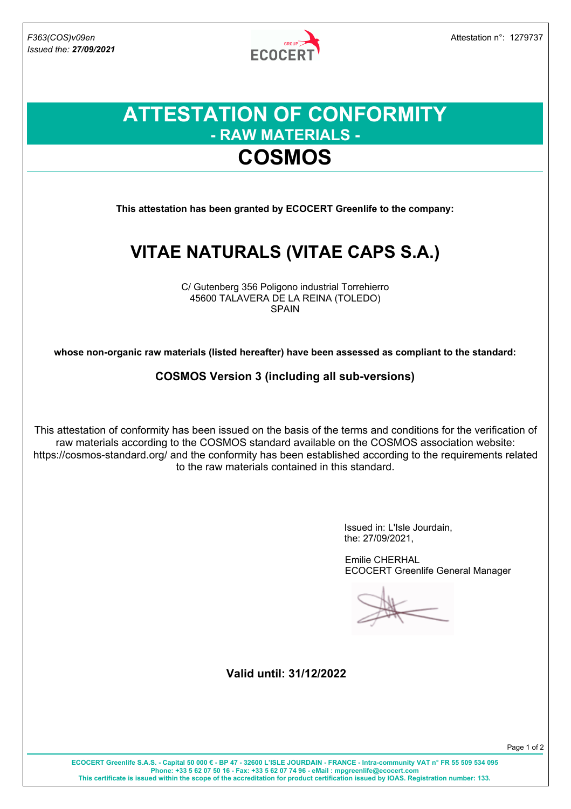

### **ATTESTATION OF CONFORMITY - RAW MATERIALS - COSMOS**

**This attestation has been granted by ECOCERT Greenlife to the company:**

# **VITAE NATURALS (VITAE CAPS S.A.)**

C/ Gutenberg 356 Poligono industrial Torrehierro 45600 TALAVERA DE LA REINA (TOLEDO) SPAIN

**whose non-organic raw materials (listed hereafter) have been assessed as compliant to the standard:**

**COSMOS Version 3 (including all sub-versions)**

This attestation of conformity has been issued on the basis of the terms and conditions for the verification of raw materials according to the COSMOS standard available on the COSMOS association website: https://cosmos-standard.org/ and the conformity has been established according to the requirements related to the raw materials contained in this standard.

> Issued in: L'Isle Jourdain, the: 27/09/2021,

Emilie CHERHAL ECOCERT Greenlife General Manager

**Valid until: 31/12/2022**